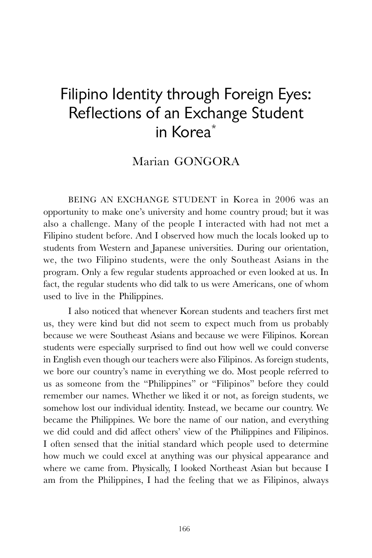## Filipino Identity through Foreign Eyes: Reflections of an Exchange Student in Korea\*

## Marian GONGORA

BEING AN EXCHANGE STUDENT in Korea in 2006 was an opportunity to make one's university and home country proud; but it was also a challenge. Many of the people I interacted with had not met a Filipino student before. And I observed how much the locals looked up to students from Western and Japanese universities. During our orientation, we, the two Filipino students, were the only Southeast Asians in the program. Only a few regular students approached or even looked at us. In fact, the regular students who did talk to us were Americans, one of whom used to live in the Philippines.

I also noticed that whenever Korean students and teachers first met us, they were kind but did not seem to expect much from us probably because we were Southeast Asians and because we were Filipinos. Korean students were especially surprised to find out how well we could converse in English even though our teachers were also Filipinos. As foreign students, we bore our country's name in everything we do. Most people referred to us as someone from the "Philippines" or "Filipinos" before they could remember our names. Whether we liked it or not, as foreign students, we somehow lost our individual identity. Instead, we became our country. We became the Philippines. We bore the name of our nation, and everything we did could and did affect others' view of the Philippines and Filipinos. I often sensed that the initial standard which people used to determine how much we could excel at anything was our physical appearance and where we came from. Physically, I looked Northeast Asian but because I am from the Philippines, I had the feeling that we as Filipinos, always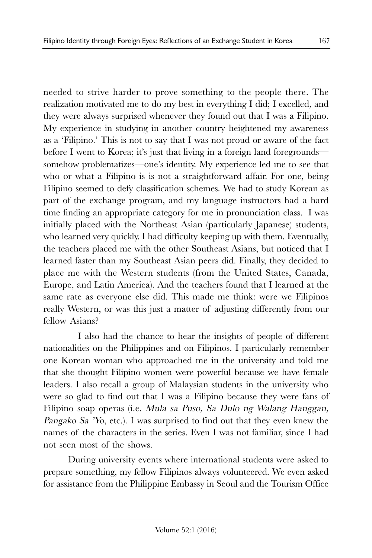needed to strive harder to prove something to the people there. The realization motivated me to do my best in everything I did; I excelled, and they were always surprised whenever they found out that I was a Filipino. My experience in studying in another country heightened my awareness as a 'Filipino.' This is not to say that I was not proud or aware of the fact before I went to Korea; it's just that living in a foreign land foregrounds somehow problematizes—one's identity. My experience led me to see that who or what a Filipino is is not a straightforward affair. For one, being Filipino seemed to defy classification schemes. We had to study Korean as part of the exchange program, and my language instructors had a hard time finding an appropriate category for me in pronunciation class. I was initially placed with the Northeast Asian (particularly Japanese) students, who learned very quickly. I had difficulty keeping up with them. Eventually, the teachers placed me with the other Southeast Asians, but noticed that I learned faster than my Southeast Asian peers did. Finally, they decided to place me with the Western students (from the United States, Canada, Europe, and Latin America). And the teachers found that I learned at the same rate as everyone else did. This made me think: were we Filipinos really Western, or was this just a matter of adjusting differently from our fellow Asians?

 I also had the chance to hear the insights of people of different nationalities on the Philippines and on Filipinos. I particularly remember one Korean woman who approached me in the university and told me that she thought Filipino women were powerful because we have female leaders. I also recall a group of Malaysian students in the university who were so glad to find out that I was a Filipino because they were fans of Filipino soap operas (i.e. Mula sa Puso, Sa Dulo ng Walang Hanggan, Pangako Sa 'Yo, etc.). I was surprised to find out that they even knew the names of the characters in the series. Even I was not familiar, since I had not seen most of the shows.

During university events where international students were asked to prepare something, my fellow Filipinos always volunteered. We even asked for assistance from the Philippine Embassy in Seoul and the Tourism Office